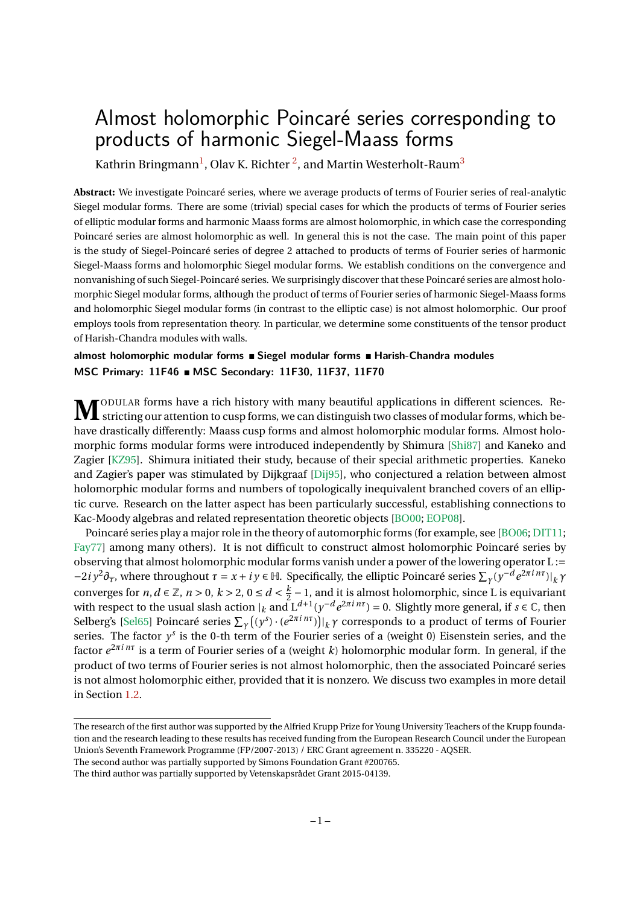# Almost holomorphic Poincaré series corresponding to products of harmonic Siegel-Maass forms

Kathrin Bringmann<sup>[1](#page-0-0)</sup>, Olav K. Richter <sup>[2](#page-0-1)</sup>, and Martin Westerholt-Raum<sup>[3](#page-0-2)</sup>

**Abstract:** We investigate Poincaré series, where we average products of terms of Fourier series of real-analytic Siegel modular forms. There are some (trivial) special cases for which the products of terms of Fourier series of elliptic modular forms and harmonic Maass forms are almost holomorphic, in which case the corresponding Poincaré series are almost holomorphic as well. In general this is not the case. The main point of this paper is the study of Siegel-Poincaré series of degree 2 attached to products of terms of Fourier series of harmonic Siegel-Maass forms and holomorphic Siegel modular forms. We establish conditions on the convergence and nonvanishing of such Siegel-Poincaré series. We surprisingly discover that these Poincaré series are almost holomorphic Siegel modular forms, although the product of terms of Fourier series of harmonic Siegel-Maass forms and holomorphic Siegel modular forms (in contrast to the elliptic case) is not almost holomorphic. Our proof employs tools from representation theory. In particular, we determine some constituents of the tensor product of Harish-Chandra modules with walls.

#### **almost holomorphic modular forms Siegel modular forms Harish-Chandra modules MSC Primary: 11F46 MSC Secondary: 11F30, 11F37, 11F70**

**M** ODULAR forms have a rich history with many beautiful applications in different sciences. Re-<br>In stricting our attention to cusp forms, we can distinguish two classes of modular forms, which be-ODULAR forms have a rich history with many beautiful applications in different sciences. Rehave drastically differently: Maass cusp forms and almost holomorphic modular forms. Almost holomorphic forms modular forms were introduced independently by Shimura [\[Shi87\]](#page-15-0) and Kaneko and Zagier [\[KZ95\]](#page-15-1). Shimura initiated their study, because of their special arithmetic properties. Kaneko and Zagier's paper was stimulated by Dijkgraaf [\[Dij95\]](#page-14-0), who conjectured a relation between almost holomorphic modular forms and numbers of topologically inequivalent branched covers of an elliptic curve. Research on the latter aspect has been particularly successful, establishing connections to Kac-Moody algebras and related representation theoretic objects [\[BO00;](#page-14-1) [EOP08\]](#page-14-2).

Poincaré series play a major role in the theory of automorphic forms (for example, see [\[BO06;](#page-14-3) [DIT11;](#page-14-4) [Fay77\]](#page-15-2) among many others). It is not difficult to construct almost holomorphic Poincaré series by observing that almost holomorphic modular forms vanish under a power of the lowering operator L :=  $-2*i* y<sup>2</sup> ∂<sub>τ</sub>$ , where throughout *τ* = *x* + *i y* ∈ H. Specifically, the elliptic Poincaré series  $\sum_{\gamma} (y^{-d} e^{2\pi i n\tau})|_k \gamma$ converges for  $n, d \in \mathbb{Z}$ ,  $n > 0$ ,  $k > 2$ ,  $0 \leq d < \frac{k}{2}$  $\frac{k}{2}$  – 1, and it is almost holomorphic, since L is equivariant with respect to the usual slash action  $|_k$  and  $L^{d+1}(y^{-d}e^{2\pi i n\tau}) = 0$ . Slightly more general, if  $s \in \mathbb{C}$ , then Selberg's [\[Sel65\]](#page-15-3) Poincaré series  $\sum_\gamma \bigl((y^s)\cdot (e^{2\pi i\,n\tau})\bigr)|_k\gamma$  corresponds to a product of terms of Fourier series. The factor  $y^s$  is the 0-th term of the Fourier series of a (weight 0) Eisenstein series, and the factor *e* 2*πi nτ* is a term of Fourier series of a (weight *k*) holomorphic modular form. In general, if the product of two terms of Fourier series is not almost holomorphic, then the associated Poincaré series is not almost holomorphic either, provided that it is nonzero. We discuss two examples in more detail in Section [1.2.](#page-3-0)

<span id="page-0-0"></span>The research of the first author was supported by the Alfried Krupp Prize for Young University Teachers of the Krupp foundation and the research leading to these results has received funding from the European Research Council under the European Union's Seventh Framework Programme (FP/2007-2013) / ERC Grant agreement n. 335220 - AQSER.

<span id="page-0-1"></span>The second author was partially supported by Simons Foundation Grant #200765.

<span id="page-0-2"></span>The third author was partially supported by Vetenskapsrådet Grant 2015-04139.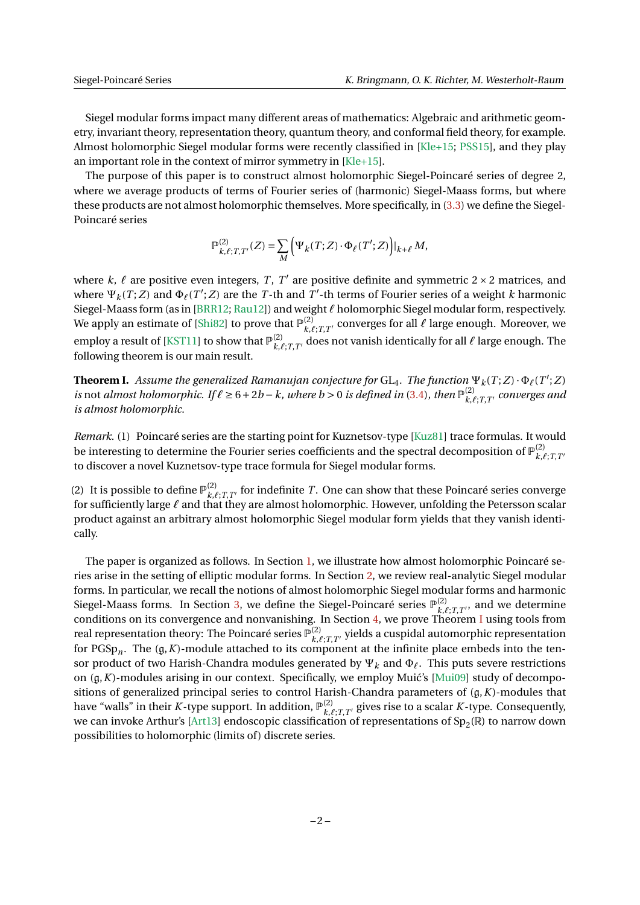Siegel modular forms impact many different areas of mathematics: Algebraic and arithmetic geometry, invariant theory, representation theory, quantum theory, and conformal field theory, for example. Almost holomorphic Siegel modular forms were recently classified in [\[Kle+15;](#page-15-4) [PSS15\]](#page-15-5), and they play an important role in the context of mirror symmetry in [\[Kle+15\]](#page-15-4).

The purpose of this paper is to construct almost holomorphic Siegel-Poincaré series of degree 2, where we average products of terms of Fourier series of (harmonic) Siegel-Maass forms, but where these products are not almost holomorphic themselves. More specifically, in [\(3.3\)](#page-8-0) we define the Siegel-Poincaré series

<span id="page-1-0"></span>
$$
\mathbb{P}_{k,\ell;T,T'}^{(2)}(Z) = \sum_{M} \Big( \Psi_k(T;Z) \cdot \Phi_{\ell}(T';Z) \Big) \big|_{k+\ell} M,
$$

where  $k$ ,  $\ell$  are positive even integers, *T*, *T'* are positive definite and symmetric 2  $\times$  2 matrices, and where  $\Psi_k(T; Z)$  and  $\Phi_\ell(T'; Z)$  are the  $T$ -th and  $T'$ -th terms of Fourier series of a weight  $k$  harmonic Siegel-Maass form (as in [\[BRR12;](#page-14-5) [Rau12\]](#page-15-6)) and weight  $\ell$  holomorphic Siegel modular form, respectively. We apply an estimate of [\[Shi82\]](#page-15-7) to prove that  $\mathbb{P}_{k,d}^{(2)}$  $\chi_{k,\ell;T,T'}^{(2)}$  converges for all  $\ell$  large enough. Moreover, we employ a result of [\[KST11\]](#page-15-8) to show that  $\mathbb{P}_{k,l}^{(2)}$  $\chi^{(2)}_{k,\ell;T,T'}$  does not vanish identically for all  $\ell$  large enough. The following theorem is our main result.

**Theorem I.** Assume the generalized Ramanujan conjecture for GL<sub>4</sub>. The function  $\Psi_k(T; Z) \cdot \Phi_\ell(T'; Z)$ *is* not *almost holomorphic. If*  $\ell \geq 6 + 2b - k$ *, where b* > 0 *is defined in* [\(3.4\)](#page-9-0)*, then*  $\mathbb{P}_{k}^{(2)}$  $\chi^{(2)}_{k,\ell;T,T'}$  converges and *is almost holomorphic.*

*Remark.* (1) Poincaré series are the starting point for Kuznetsov-type [\[Kuz81\]](#page-15-9) trace formulas. It would be interesting to determine the Fourier series coefficients and the spectral decomposition of  $\mathbb{P}^{(2)}_k$  $k, \ell; T, T$ to discover a novel Kuznetsov-type trace formula for Siegel modular forms.

(2) It is possible to define  $\mathbb{P}^{(2)}_k$  $\mathcal{L}^{(2)}_{k,\ell;T,T'}$  for indefinite *T* . One can show that these Poincaré series converge for sufficiently large  $\ell$  and that they are almost holomorphic. However, unfolding the Petersson scalar product against an arbitrary almost holomorphic Siegel modular form yields that they vanish identically.

The paper is organized as follows. In Section [1,](#page-2-0) we illustrate how almost holomorphic Poincaré series arise in the setting of elliptic modular forms. In Section [2,](#page-6-0) we review real-analytic Siegel modular forms. In particular, we recall the notions of almost holomorphic Siegel modular forms and harmonic Siegel-Maass forms. In Section [3,](#page-8-1) we define the Siegel-Poincaré series  $\mathbb{P}_{k}^{(2)}$  $\chi^{(2)}_{k,\ell;T,T'}$ , and we determine conditions on its convergence and nonvanishing. In Section [4,](#page-10-0) we prove Theorem [I](#page-1-0) using tools from real representation theory: The Poincaré series  $\mathbb{P}_{k,l}^{(2)}$  $\chi^{(2)}_{k,\ell;T,T'}$  yields a cuspidal automorphic representation for PGSp*<sup>n</sup>* . The (g,*K*)-module attached to its component at the infinite place embeds into the tensor product of two Harish-Chandra modules generated by  $\Psi_k$  and  $\Phi_\ell$ . This puts severe restrictions on  $(\mathfrak{g}, K)$ -modules arising in our context. Specifically, we employ Muić's [\[Mui09\]](#page-15-10) study of decompositions of generalized principal series to control Harish-Chandra parameters of (g,*K*)-modules that have "walls" in their *K*-type support. In addition,  $\mathbb{P}_{k,\ell}^{(2)}$  $\chi^{(2)}_{k,\ell;T,T'}$  gives rise to a scalar *K*-type. Consequently, we can invoke Arthur's [\[Art13\]](#page-14-6) endoscopic classification of representations of  $\mathrm{Sp}_2(\mathbb{R})$  to narrow down possibilities to holomorphic (limits of) discrete series.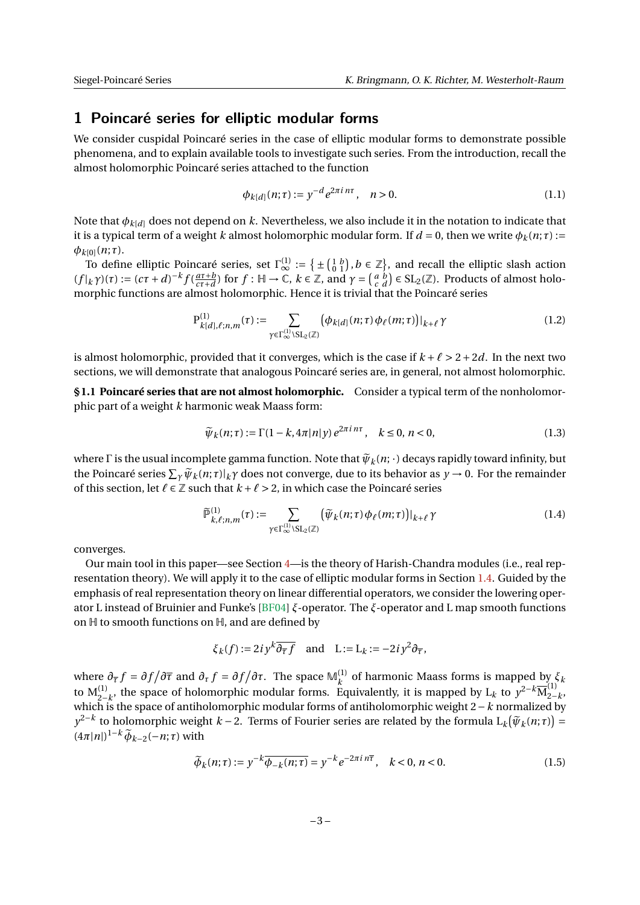#### <span id="page-2-0"></span>**1 Poincaré series for elliptic modular forms**

We consider cuspidal Poincaré series in the case of elliptic modular forms to demonstrate possible phenomena, and to explain available tools to investigate such series. From the introduction, recall the almost holomorphic Poincaré series attached to the function

<span id="page-2-3"></span><span id="page-2-2"></span>
$$
\phi_{k[d]}(n;\tau) := y^{-d} e^{2\pi i n \tau}, \quad n > 0.
$$
\n(1.1)

Note that  $\phi_{k[d]}$  does not depend on *k*. Nevertheless, we also include it in the notation to indicate that it is a typical term of a weight *k* almost holomorphic modular form. If  $d = 0$ , then we write  $\phi_k(n; \tau)$  :=  $φ$ <sub>*k*[0]</sub>(*n*;*τ*).

To define elliptic Poincaré series, set  $\Gamma_{\infty}^{(1)} := \{ \pm \left( \begin{smallmatrix} 1 & b \\ 0 & 1 \end{smallmatrix} \right), b \in \mathbb{Z} \}$ , and recall the elliptic slash action  $(f|_k \gamma)(\tau) := (c\tau + d)^{-k} f(\frac{a\tau + b}{c\tau + d})$  $\frac{a\tau+b}{c\tau+d}$ ) for  $f: \mathbb{H} \to \mathbb{C}$ ,  $k \in \mathbb{Z}$ , and  $\gamma = \begin{pmatrix} a & b \\ c & d \end{pmatrix} \in SL_2(\mathbb{Z})$ . Products of almost holomorphic functions are almost holomorphic. Hence it is trivial that the Poincaré series

$$
P_{k[d],\ell;n,m}^{(1)}(\tau) := \sum_{\gamma \in \Gamma_{\infty}^{(1)} \backslash SL_2(\mathbb{Z})} \left( \phi_{k[d]}(n;\tau) \phi_{\ell}(m;\tau) \right) \big|_{k+\ell} \gamma \tag{1.2}
$$

is almost holomorphic, provided that it converges, which is the case if  $k + \ell > 2 + 2d$ . In the next two sections, we will demonstrate that analogous Poincaré series are, in general, not almost holomorphic.

**§1.1 Poincaré series that are not almost holomorphic.** Consider a typical term of the nonholomorphic part of a weight *k* harmonic weak Maass form:

<span id="page-2-4"></span>
$$
\widetilde{\psi}_k(n;\tau) := \Gamma(1 - k, 4\pi |n|y) e^{2\pi i n\tau}, \quad k \le 0, n < 0,
$$
\n(1.3)

where Γ is the usual incomplete gamma function. Note that  $\tilde{\psi}_k(n; \cdot)$  decays rapidly toward infinity, but the Poincaré series  $\sum_{\gamma} \widetilde{\psi}_k(n; \tau)|_k \gamma$  does not converge, due to its behavior as  $y \to 0$ . For the remainder of this section, let  $\ell \in \mathbb{Z}$  such that  $k + \ell > 2$ , in which case the Poincaré series

<span id="page-2-1"></span>
$$
\widetilde{\mathbb{P}}_{k,\ell;n,m}^{(1)}(\tau) := \sum_{\gamma \in \Gamma_{\infty}^{(1)} \backslash \mathrm{SL}_2(\mathbb{Z})} \left( \widetilde{\psi}_k(n;\tau) \phi_\ell(m;\tau) \right)|_{k+\ell} \gamma \tag{1.4}
$$

converges.

Our main tool in this paper—see Section [4—](#page-10-0)is the theory of Harish-Chandra modules (i.e., real representation theory). We will apply it to the case of elliptic modular forms in Section [1.4.](#page-4-0) Guided by the emphasis of real representation theory on linear differential operators, we consider the lowering operator L instead of Bruinier and Funke's [\[BF04\]](#page-14-7) *ξ*-operator. The *ξ*-operator and L map smooth functions on  $H$  to smooth functions on  $H$ , and are defined by

<span id="page-2-5"></span>
$$
\xi_k(f) := 2iy^k\overline{\partial_{\overline{\tau}}f}
$$
 and  $L := L_k := -2iy^2\partial_{\overline{\tau}},$ 

where  $\partial_{\overline{\tau}} f = \partial f / \partial \overline{\tau}$  and  $\partial_{\tau} f = \partial f / \partial \tau$ . The space  $\mathbb{M}_k^{(1)}$ *k* of harmonic Maass forms is mapped by *ξ<sup>k</sup>* to  $M_{2-k}^{(1)}$ , the space of holomorphic modular forms. Equivalently, it is mapped by L<sub>k</sub> to  $y^{2-k}\overline{M}_{2-k}^{(1)}$ which is the space of antiholomorphic modular forms of antiholomorphic weight 2−*k* normalized by  $y^{2-k}$  to holomorphic weight *k* − 2. Terms of Fourier series are related by the formula  $L_k(\tilde{\psi}_k(n;\tau)) =$  $(4\pi|n|)^{1-k} \tilde{\phi}_{k-2}(-n;\tau)$  with

$$
\widetilde{\phi}_k(n;\tau) := y^{-k} \overline{\phi_{-k}(n;\tau)} = y^{-k} e^{-2\pi i n \overline{\tau}}, \quad k < 0, n < 0.
$$
\n(1.5)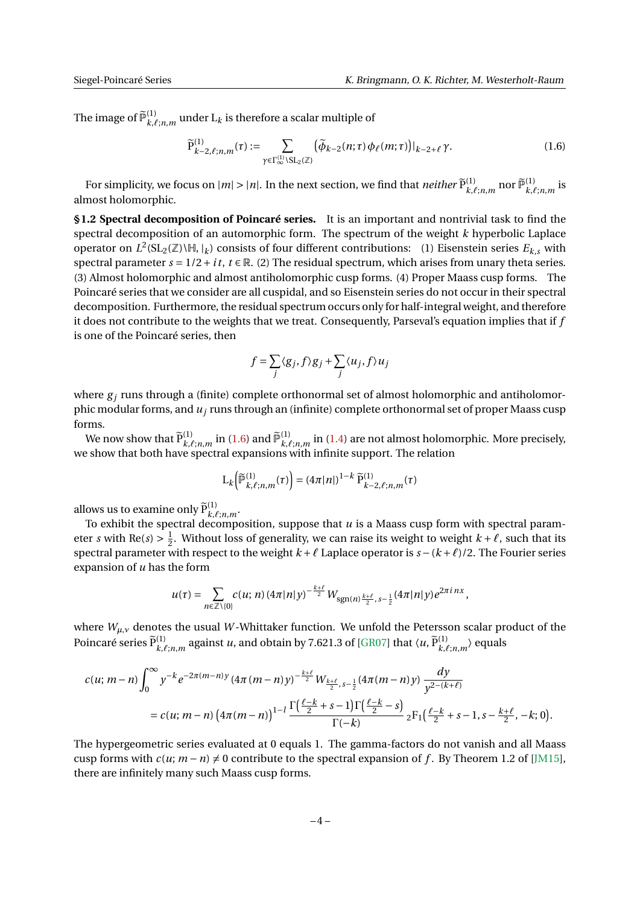The image of  $\widetilde{P}_{k,\ell;n,m}^{(1)}$  under  $L_k$  is therefore a scalar multiple of

<span id="page-3-1"></span>
$$
\widetilde{P}_{k-2,\ell;n,m}^{(1)}(\tau) := \sum_{\gamma \in \Gamma_{\infty}^{(1)} \backslash SL_2(\mathbb{Z})} \left( \widetilde{\phi}_{k-2}(n;\tau) \phi_{\ell}(m;\tau) \right) \Big|_{k-2+\ell} \gamma.
$$
\n(1.6)

For simplicity, we focus on  $|m| > |n|$ . In the next section, we find that *neither*  $\widetilde{P}_{k,\ell;n,m}^{(1)}$  nor  $\widetilde{P}_{k,\ell;n,m}^{(1)}$  is almost holomorphic.

<span id="page-3-0"></span>**§1.2 Spectral decomposition of Poincaré series.** It is an important and nontrivial task to find the spectral decomposition of an automorphic form. The spectrum of the weight *k* hyperbolic Laplace operator on  $L^2(SL_2(\mathbb{Z})\setminus\mathbb{H}, |k)$  consists of four different contributions: (1) Eisenstein series  $E_{k,s}$  with spectral parameter  $s = 1/2 + it$ ,  $t \in \mathbb{R}$ . (2) The residual spectrum, which arises from unary theta series. (3) Almost holomorphic and almost antiholomorphic cusp forms. (4) Proper Maass cusp forms. The Poincaré series that we consider are all cuspidal, and so Eisenstein series do not occur in their spectral decomposition. Furthermore, the residual spectrum occurs only for half-integral weight, and therefore it does not contribute to the weights that we treat. Consequently, Parseval's equation implies that if *f* is one of the Poincaré series, then

$$
f = \sum_{j} \langle g_j, f \rangle g_j + \sum_{j} \langle u_j, f \rangle u_j
$$

where  $g_j$  runs through a (finite) complete orthonormal set of almost holomorphic and antiholomorphic modular forms, and *u<sup>j</sup>* runs through an (infinite) complete orthonormal set of proper Maass cusp forms.

We now show that  $\widetilde{P}_{k,\ell;n,m}^{(1)}$  in [\(1.6\)](#page-3-1) and  $\widetilde{P}_{k,\ell;n,m}^{(1)}$  in [\(1.4\)](#page-2-1) are not almost holomorphic. More precisely, we show that both have spectral expansions with infinite support. The relation

$$
\mathcal{L}_k\bigg(\widetilde{\mathbb{P}}_{k,\ell;n,m}^{(1)}(\tau)\bigg) = (4\pi |n|)^{1-k} \, \widetilde{\mathcal{P}}_{k-2,\ell;n,m}^{(1)}(\tau)
$$

allows us to examine only  $\widetilde{P}_{k,\ell;n,m}^{(1)}$ .

To exhibit the spectral decomposition, suppose that *u* is a Maass cusp form with spectral parameter *s* with  $Re(s) > \frac{1}{2}$  $\frac{1}{2}$ . Without loss of generality, we can raise its weight to weight  $k + \ell$ , such that its spectral parameter with respect to the weight  $k + \ell$  Laplace operator is  $s - (k + \ell)/2$ . The Fourier series expansion of *u* has the form

$$
u(\tau) = \sum_{n \in \mathbb{Z}\setminus\{0\}} c(u; n) \left(4\pi |n| y\right)^{-\frac{k+\ell}{2}} W_{\text{sgn}(n)^{\frac{k+\ell}{2}}, s-\frac{1}{2}}(4\pi |n| y) e^{2\pi i n x},
$$

where  $W_{\mu,\nu}$  denotes the usual *W*-Whittaker function. We unfold the Petersson scalar product of the Poincaré series  $\widetilde{P}_{k,\ell;n,m}^{(1)}$  against *u*, and obtain by 7.621.3 of [\[GR07\]](#page-15-11) that  $\langle u, \widetilde{P}_{k,\ell;n,m}^{(1)} \rangle$  equals

$$
\begin{split} c(u;m-n) \int_0^\infty y^{-k} e^{-2\pi(m-n)y} \left(4\pi (m-n)y\right)^{-\frac{k+\ell}{2}} W_{\frac{k+\ell}{2},s-\frac{1}{2}}(4\pi (m-n)y) \, \frac{dy}{y^{2-(k+\ell)}} \\ & = c(u;m-n) \left(4\pi (m-n)\right)^{1-l} \frac{\Gamma\left(\frac{\ell-k}{2}+s-1\right) \Gamma\left(\frac{\ell-k}{2}-s\right)}{\Gamma(-k)} \, _2F_1\left(\frac{\ell-k}{2}+s-1,s-\frac{k+\ell}{2},-k;0\right). \end{split}
$$

The hypergeometric series evaluated at 0 equals 1. The gamma-factors do not vanish and all Maass cusp forms with  $c(u; m-n) \neq 0$  contribute to the spectral expansion of f. By Theorem 1.2 of [\[JM15\]](#page-15-12), there are infinitely many such Maass cusp forms.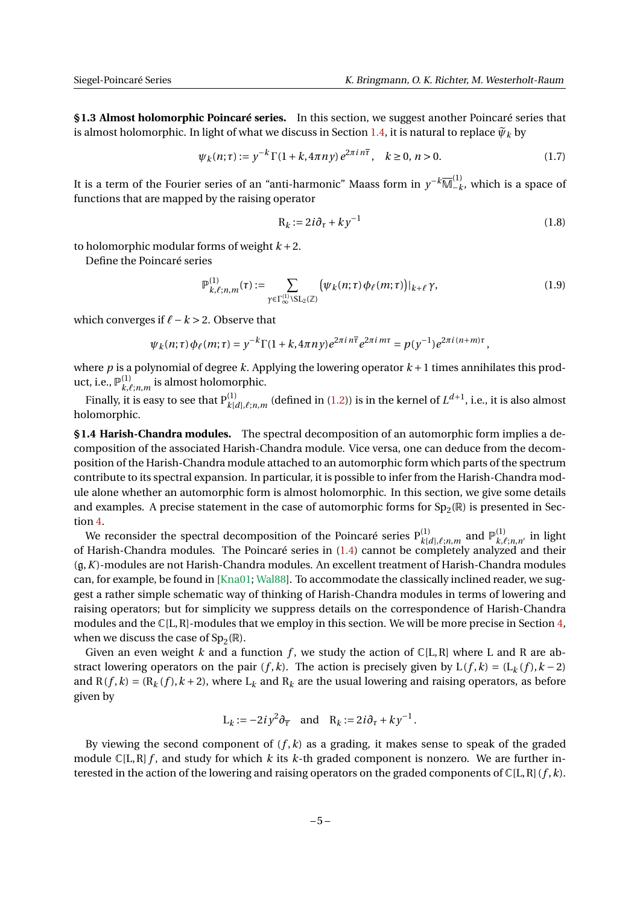<span id="page-4-1"></span>,

<span id="page-4-2"></span>**§1.3 Almost holomorphic Poincaré series.** In this section, we suggest another Poincaré series that is almost holomorphic. In light of what we discuss in Section [1.4,](#page-4-0) it is natural to replace  $\tilde{\psi}_k$  by

$$
\psi_k(n;\tau) := y^{-k} \Gamma(1 + k, 4\pi n y) e^{2\pi i n \overline{\tau}}, \quad k \ge 0, n > 0.
$$
 (1.7)

It is a term of the Fourier series of an "anti-harmonic" Maass form in  $y^{-k}\overline{\mathbb{M}}^{(1)}_{-k}$ , which is a space of functions that are mapped by the raising operator

$$
R_k := 2i\partial_\tau + ky^{-1} \tag{1.8}
$$

to holomorphic modular forms of weight  $k + 2$ .

Define the Poincaré series

$$
\mathbb{P}_{k,\ell;n,m}^{(1)}(\tau) := \sum_{\gamma \in \Gamma_{\infty}^{(1)} \backslash \mathrm{SL}_2(\mathbb{Z})} \left( \psi_k(n;\tau) \phi_{\ell}(m;\tau) \right) \big|_{k+\ell} \gamma,\tag{1.9}
$$

which converges if  $\ell$  −  $k$  > 2. Observe that

$$
\psi_k(n;\tau)\phi_\ell(m;\tau) = y^{-k}\Gamma(1+k,4\pi n y)e^{2\pi i n\bar{\tau}}e^{2\pi i m\tau} = p(y^{-1})e^{2\pi i (n+m)\tau}
$$

where  $p$  is a polynomial of degree  $k$ . Applying the lowering operator  $k+1$  times annihilates this product, i.e.,  $\mathbb{P}_{k,l}^{(1)}$  $\sum_{k,\ell;n,m}^{(1)}$  is almost holomorphic.

Finally, it is easy to see that  $P^{(1)}_{k[d],\ell;n,m}$  (defined in [\(1.2\)](#page-2-2)) is in the kernel of  $L^{d+1}$ , i.e., it is also almost holomorphic.

<span id="page-4-0"></span>**§1.4 Harish-Chandra modules.** The spectral decomposition of an automorphic form implies a decomposition of the associated Harish-Chandra module. Vice versa, one can deduce from the decomposition of the Harish-Chandra module attached to an automorphic form which parts of the spectrum contribute to its spectral expansion. In particular, it is possible to infer from the Harish-Chandra module alone whether an automorphic form is almost holomorphic. In this section, we give some details and examples. A precise statement in the case of automorphic forms for  $\mathrm{Sp}_2(\mathbb{R})$  is presented in Section [4.](#page-10-0)

We reconsider the spectral decomposition of the Poincaré series  $P_{k[d], \ell; n, m}^{(1)}$  and  $\mathbb{P}_{k,\ell}^{(1)}$  $\sum_{k,\ell;n,n'}^{(1)}$  in light of Harish-Chandra modules. The Poincaré series in [\(1.4\)](#page-2-1) cannot be completely analyzed and their (g,*K*)-modules are not Harish-Chandra modules. An excellent treatment of Harish-Chandra modules can, for example, be found in [\[Kna01;](#page-15-13) [Wal88\]](#page-15-14). To accommodate the classically inclined reader, we suggest a rather simple schematic way of thinking of Harish-Chandra modules in terms of lowering and raising operators; but for simplicity we suppress details on the correspondence of Harish-Chandra modules and the  $\mathbb{C}[L,R]$ -modules that we employ in this section. We will be more precise in Section [4,](#page-10-0) when we discuss the case of  $\mathrm{Sp}_2(\mathbb{R}).$ 

Given an even weight k and a function f, we study the action of  $\mathbb{C}[L,R]$  where L and R are abstract lowering operators on the pair  $(f, k)$ . The action is precisely given by  $L(f, k) = (L_k(f), k - 2)$ and  $R(f, k) = (R_k(f), k + 2)$ , where L<sub>k</sub> and R<sub>k</sub> are the usual lowering and raising operators, as before given by

$$
L_k := -2iy^2\partial_{\overline{\tau}}
$$
 and  $R_k := 2i\partial_{\tau} + ky^{-1}$ .

By viewing the second component of  $(f, k)$  as a grading, it makes sense to speak of the graded module C[L,R] *f* , and study for which *k* its *k*-th graded component is nonzero. We are further interested in the action of the lowering and raising operators on the graded components of  $\mathbb{C}[L,R](f, k)$ .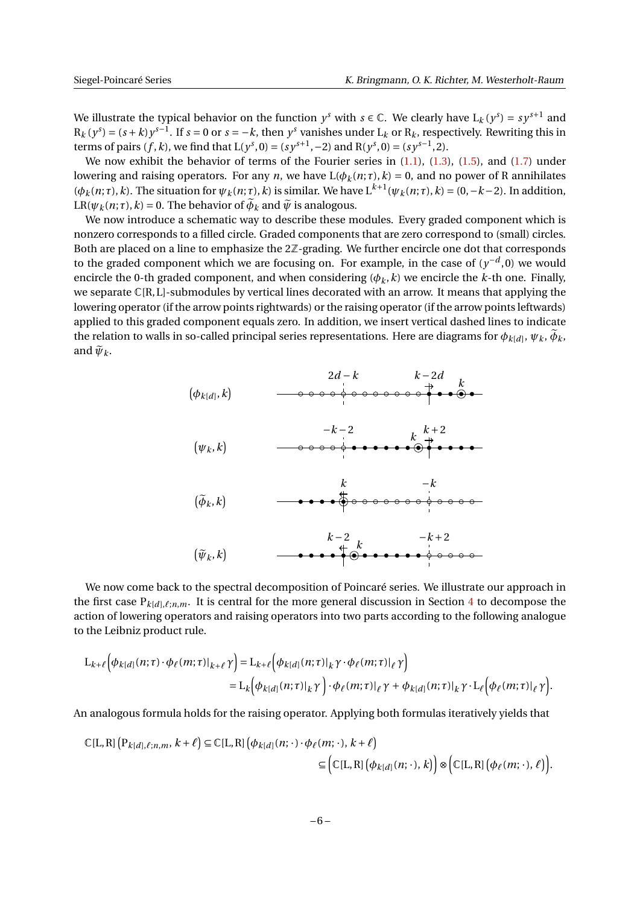We illustrate the typical behavior on the function  $y^s$  with  $s \in \mathbb{C}$ . We clearly have  $L_k(y^s) = sy^{s+1}$  and  $R_k(y^s) = (s+k)y^{s-1}$ . If  $s = 0$  or  $s = -k$ , then  $y^s$  vanishes under  $L_k$  or  $R_k$ , respectively. Rewriting this in terms of pairs (*f*, *k*), we find that  $L(y^s, 0) = (sy^{s+1}, -2)$  and  $R(y^s, 0) = (sy^{s-1}, 2)$ .

We now exhibit the behavior of terms of the Fourier series in  $(1.1)$ ,  $(1.3)$ ,  $(1.5)$ , and  $(1.7)$  under lowering and raising operators. For any *n*, we have  $L(\phi_k(n;\tau), k) = 0$ , and no power of R annihilates  $(\phi_k(n;\tau), k)$ . The situation for  $\psi_k(n;\tau), k$  is similar. We have  $L^{k+1}(\psi_k(n;\tau), k) = (0, -k-2)$ . In addition,  $LR(\psi_k(n;\tau), k) = 0$ . The behavior of  $\widetilde{\phi}_k$  and  $\widetilde{\psi}$  is analogous.

We now introduce a schematic way to describe these modules. Every graded component which is nonzero corresponds to a filled circle. Graded components that are zero correspond to (small) circles. Both are placed on a line to emphasize the  $2\mathbb{Z}$ -grading. We further encircle one dot that corresponds to the graded component which we are focusing on. For example, in the case of  $(y^{-d},0)$  we would encircle the 0-th graded component, and when considering  $(\phi_k, k)$  we encircle the *k*-th one. Finally, we separate  $\mathbb{C}[R,L]$ -submodules by vertical lines decorated with an arrow. It means that applying the lowering operator (if the arrow points rightwards) or the raising operator (if the arrow points leftwards) applied to this graded component equals zero. In addition, we insert vertical dashed lines to indicate the relation to walls in so-called principal series representations. Here are diagrams for *φk*[*d*] , *<sup>ψ</sup><sup>k</sup>* , *<sup>φ</sup>*e*<sup>k</sup>* , and  $\widetilde{\psi}_k$ .



We now come back to the spectral decomposition of Poincaré series. We illustrate our approach in the first case  $P_{k[d],\ell;n,m}$ . It is central for the more general discussion in Section [4](#page-10-0) to decompose the action of lowering operators and raising operators into two parts according to the following analogue to the Leibniz product rule.

$$
L_{k+\ell}(\phi_{k[d]}(n;\tau)\cdot\phi_{\ell}(m;\tau)|_{k+\ell}\gamma) = L_{k+\ell}(\phi_{k[d]}(n;\tau)|_{k}\gamma\cdot\phi_{\ell}(m;\tau)|_{\ell}\gamma)
$$
  
=  $L_{k}(\phi_{k[d]}(n;\tau)|_{k}\gamma)\cdot\phi_{\ell}(m;\tau)|_{\ell}\gamma + \phi_{k[d]}(n;\tau)|_{k}\gamma\cdot L_{\ell}(\phi_{\ell}(m;\tau)|_{\ell}\gamma).$ 

An analogous formula holds for the raising operator. Applying both formulas iteratively yields that

$$
\mathbb{C}[L,R]\left(P_{k[d],\ell;n,m},k+\ell\right) \subseteq \mathbb{C}[L,R]\left(\phi_{k[d]}(n;\cdot)\cdot\phi_{\ell}(m;\cdot),k+\ell\right) \subseteq \left(\mathbb{C}[L,R]\left(\phi_{k[d]}(n;\cdot),k\right)\right) \otimes \left(\mathbb{C}[L,R]\left(\phi_{\ell}(m;\cdot),\ell\right)\right).
$$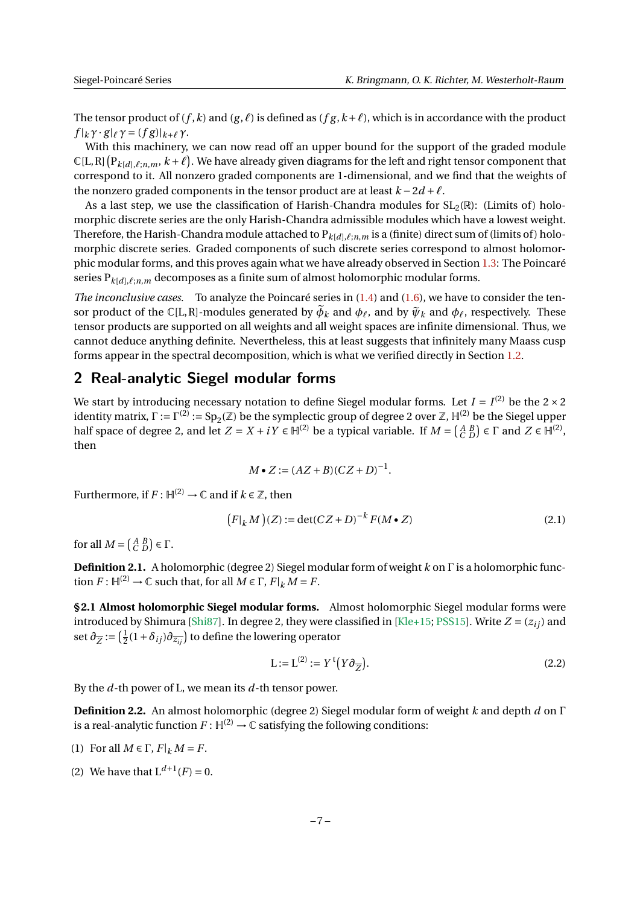The tensor product of  $(f, k)$  and  $(g, \ell)$  is defined as  $(f, k + \ell)$ , which is in accordance with the product  $f|_k \gamma \cdot g|_{\ell} \gamma = (fg)|_{k+\ell} \gamma$ .

With this machinery, we can now read off an upper bound for the support of the graded module C[L, R]  $({\rm P}_{k[d],\ell;n,m},$   $k+\ell)$ . We have already given diagrams for the left and right tensor component that correspond to it. All nonzero graded components are 1-dimensional, and we find that the weights of the nonzero graded components in the tensor product are at least  $k - 2d + \ell$ .

As a last step, we use the classification of Harish-Chandra modules for  $SL_2(\mathbb{R})$ : (Limits of) holomorphic discrete series are the only Harish-Chandra admissible modules which have a lowest weight. Therefore, the Harish-Chandra module attached to  $P_{k[d],\ell;n,m}$  is a (finite) direct sum of (limits of) holomorphic discrete series. Graded components of such discrete series correspond to almost holomorphic modular forms, and this proves again what we have already observed in Section [1.3:](#page-4-2) The Poincaré series  $P_{k[d], \ell; n, m}$  decomposes as a finite sum of almost holomorphic modular forms.

*The inconclusive cases.* To analyze the Poincaré series in [\(1.4\)](#page-2-1) and [\(1.6\)](#page-3-1), we have to consider the tensor product of the C[L,R]-modules generated by  $\widetilde{\phi}_k$  and  $\phi_\ell$ , and by  $\widetilde{\psi}_k$  and  $\phi_\ell$ , respectively. These tensor products are supported on all weights and all weight spaces are infinite dimensional. Thus, we cannot deduce anything definite. Nevertheless, this at least suggests that infinitely many Maass cusp forms appear in the spectral decomposition, which is what we verified directly in Section [1.2.](#page-3-0)

### <span id="page-6-0"></span>**2 Real-analytic Siegel modular forms**

We start by introducing necessary notation to define Siegel modular forms. Let  $I = I^{(2)}$  be the 2 × 2 identity matrix,  $\Gamma:=\Gamma^{(2)}:=\mathrm{Sp}_2(\mathbb{Z})$  be the symplectic group of degree 2 over  $\mathbb{Z}$ ,  $\mathbb{H}^{(2)}$  be the Siegel upper half space of degree 2, and let  $Z = X + iY \in \mathbb{H}^{(2)}$  be a typical variable. If  $M = \begin{pmatrix} A & B \\ C & D \end{pmatrix} \in \Gamma$  and  $Z \in \mathbb{H}^{(2)}$ , then

<span id="page-6-1"></span>
$$
M \bullet Z := (AZ + B)(CZ + D)^{-1}.
$$

Furthermore, if  $F: \mathbb{H}^{(2)} \to \mathbb{C}$  and if  $k \in \mathbb{Z}$ , then

$$
(F|_k M)(Z) := \det(CZ + D)^{-k} F(M \bullet Z)
$$
\n(2.1)

for all  $M = \begin{pmatrix} A & B \\ C & D \end{pmatrix} \in \Gamma$ .

**Definition 2.1.** A holomorphic (degree 2) Siegel modular form of weight *k* on Γ is a holomorphic func- $\text{tion } F: \mathbb{H}^{(2)} \to \mathbb{C} \text{ such that, for all } M \in \Gamma, F|_{k} M = F.$ 

**§2.1 Almost holomorphic Siegel modular forms.** Almost holomorphic Siegel modular forms were introduced by Shimura [\[Shi87\]](#page-15-0). In degree 2, they were classified in [\[Kle+15;](#page-15-4) [PSS15\]](#page-15-5). Write  $Z = (z_{ij})$  and set  $\partial_{\overline{Z}}$ :=  $(\frac{1}{2})$  $\frac{1}{2}(1+\delta_{ij})\partial_{\overline{z_{ij}}})$  to define the lowering operator

$$
L := L^{(2)} := Y^{t} (Y \partial_{\overline{Z}}). \tag{2.2}
$$

By the *d*-th power of L, we mean its *d*-th tensor power.

**Definition 2.2.** An almost holomorphic (degree 2) Siegel modular form of weight *k* and depth *d* on Γ is a real-analytic function  $F\colon\mathbb{H}^{(2)}\to\mathbb{C}$  satisfying the following conditions:

- (1) For all  $M \in \Gamma$ ,  $F|_k M = F$ .
- (2) We have that  $L^{d+1}(F) = 0$ .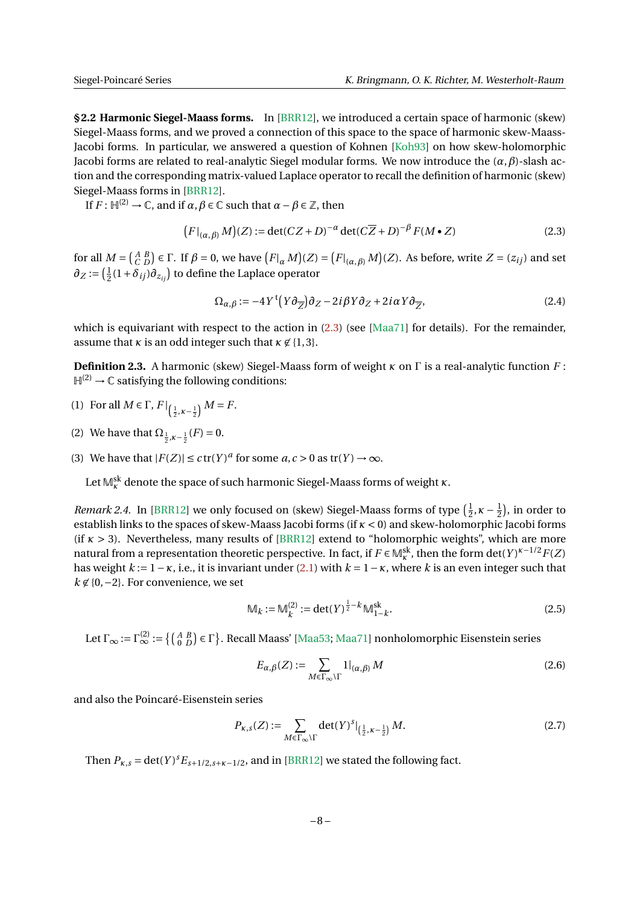**§2.2 Harmonic Siegel-Maass forms.** In [\[BRR12\]](#page-14-5), we introduced a certain space of harmonic (skew) Siegel-Maass forms, and we proved a connection of this space to the space of harmonic skew-Maass-Jacobi forms. In particular, we answered a question of Kohnen [\[Koh93\]](#page-15-15) on how skew-holomorphic Jacobi forms are related to real-analytic Siegel modular forms. We now introduce the (*α*,*β*)-slash action and the corresponding matrix-valued Laplace operator to recall the definition of harmonic (skew) Siegel-Maass forms in [\[BRR12\]](#page-14-5).

If  $F: \mathbb{H}^{(2)} \to \mathbb{C}$ , and if  $\alpha, \beta \in \mathbb{C}$  such that  $\alpha - \beta \in \mathbb{Z}$ , then

$$
\left(F|_{(\alpha,\beta)}M\right)(Z) := \det(CZ + D)^{-\alpha} \det(C\overline{Z} + D)^{-\beta} F(M \bullet Z) \tag{2.3}
$$

for all  $M = \begin{pmatrix} A & B \\ C & D \end{pmatrix} \in \Gamma$ . If  $\beta = 0$ , we have  $\left(F|_{\alpha} M\right)(Z) = \left(F|_{(\alpha, \beta)} M\right)(Z)$ . As before, write  $Z = (z_{ij})$  and set  $\partial_Z$  :=  $\left(\frac{1}{2}\right)$  $\frac{1}{2}(1+\delta_{ij})\partial_{z_{ij}}\big)$  to define the Laplace operator

<span id="page-7-0"></span>
$$
\Omega_{\alpha,\beta} := -4Y^{\dagger} \left( Y \partial_{\overline{Z}} \right) \partial_Z - 2i\beta Y \partial_Z + 2i\alpha Y \partial_{\overline{Z}},\tag{2.4}
$$

which is equivariant with respect to the action in  $(2.3)$  (see [\[Maa71\]](#page-15-16) for details). For the remainder, assume that *κ* is an odd integer such that  $\kappa \notin \{1,3\}.$ 

**Definition 2.3.** A harmonic (skew) Siegel-Maass form of weight *κ* on Γ is a real-analytic function *F* :  $\mathbb{H}^{(2)} \to \mathbb{C}$  satisfying the following conditions:

- (1) For all  $M \in \Gamma$ ,  $F|_{(\frac{1}{2}, \kappa \frac{1}{2})} M = F$ .
- (2) We have that  $\Omega_{\frac{1}{2}, \kappa \frac{1}{2}}(F) = 0$ .
- (3) We have that  $|F(Z)| \leq c \operatorname{tr}(Y)^a$  for some  $a, c > 0$  as  $\operatorname{tr}(Y) \to \infty$ .

Let Msk *<sup>κ</sup>* denote the space of such harmonic Siegel-Maass forms of weight *κ*.

*Remark 2.4.* In [\[BRR12\]](#page-14-5) we only focused on (skew) Siegel-Maass forms of type  $(\frac{1}{2})$  $\frac{1}{2}$ ,  $\kappa - \frac{1}{2}$  $(\frac{1}{2})$ , in order to establish links to the spaces of skew-Maass Jacobi forms (if *κ* < 0) and skew-holomorphic Jacobi forms (if  $\kappa > 3$ ). Nevertheless, many results of [\[BRR12\]](#page-14-5) extend to "holomorphic weights", which are more natural from a representation theoretic perspective. In fact, if  $F \in \mathbb{M}_\kappa^{\rm sk}$ , then the form  $\det(Y)^{\kappa-1/2}F(Z)$ has weight *k* := 1−*κ*, i.e., it is invariant under [\(2.1\)](#page-6-1) with *k* = 1−*κ*, where *k* is an even integer such that  $k \notin \{0, -2\}$ . For convenience, we set

$$
\mathbb{M}_k := \mathbb{M}_k^{(2)} := \det(Y)^{\frac{1}{2} - k} \mathbb{M}_{1-k}^{\text{sk}}.
$$
\n(2.5)

Let  $\Gamma_\infty:=\Gamma^{(2)}_\infty:=\big\{\big(\begin{smallmatrix}A&B\\0&D\end{smallmatrix}\big)\in\Gamma\big\}.$  Recall Maass' [\[Maa53;](#page-15-17) [Maa71\]](#page-15-16) nonholomorphic Eisenstein series

<span id="page-7-1"></span>
$$
E_{\alpha,\beta}(Z) := \sum_{M \in \Gamma_{\infty} \backslash \Gamma} 1|_{(\alpha,\beta)} M
$$
\n(2.6)

and also the Poincaré-Eisenstein series

$$
P_{\kappa,s}(Z) := \sum_{M \in \Gamma_{\infty} \backslash \Gamma} \det(Y)^s |_{\left(\frac{1}{2}, \kappa - \frac{1}{2}\right)} M. \tag{2.7}
$$

Then  $P_{\kappa,s} = \det(Y)^s E_{s+1/2,s+\kappa-1/2}$ , and in [\[BRR12\]](#page-14-5) we stated the following fact.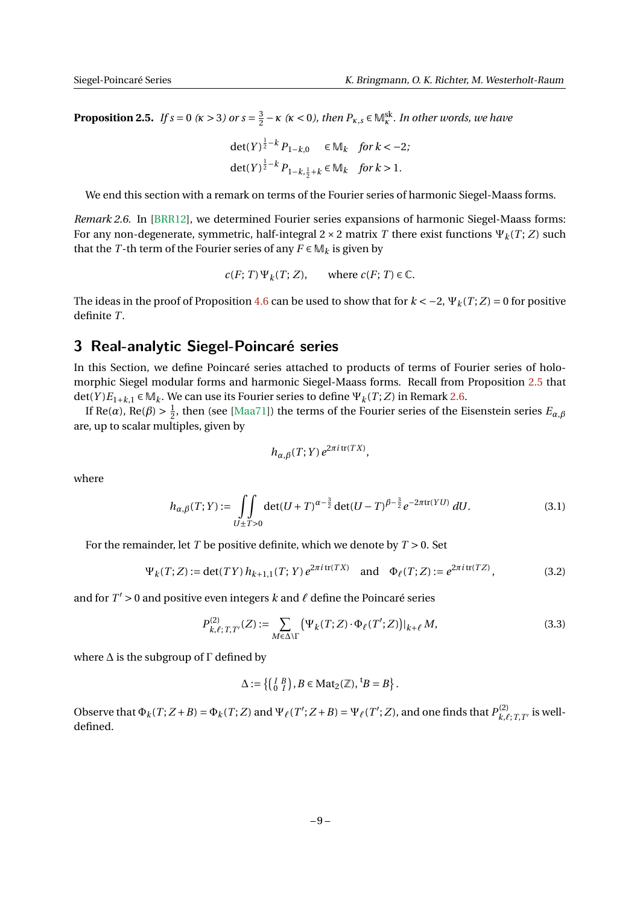**Proposition 2.5.** *If*  $s = 0$  ( $\kappa > 3$ ) or  $s = \frac{3}{2}$  $\frac{3}{2}$  − κ (*κ* < 0), then  $P_{\kappa, s}$  ∈  $\mathbb{M}_{\kappa}^{\text{sk}}$ . In other words, we have

> <span id="page-8-2"></span> $\det(Y)^{\frac{1}{2} - k} P_{1-k,0}$  ∈ M<sub>k</sub> *for k* < −2*;*  $\det(Y)^{\frac{1}{2} - k} P_{1-k, \frac{1}{2} + k} \in M_k$  *for k* > 1*.*

We end this section with a remark on terms of the Fourier series of harmonic Siegel-Maass forms.

*Remark 2.6.* In [\[BRR12\]](#page-14-5), we determined Fourier series expansions of harmonic Siegel-Maass forms: For any non-degenerate, symmetric, half-integral  $2 \times 2$  matrix *T* there exist functions  $\Psi_k(T; Z)$  such that the *T*-th term of the Fourier series of any  $F \in M_k$  is given by

 $c(F; T) \Psi_k(T; Z)$ , where  $c(F; T) \in \mathbb{C}$ .

The ideas in the proof of Proposition [4.6](#page-13-0) can be used to show that for  $k < -2$ ,  $\Psi_k(T; Z) = 0$  for positive definite *T* .

## <span id="page-8-1"></span>**3 Real-analytic Siegel-Poincaré series**

In this Section, we define Poincaré series attached to products of terms of Fourier series of holomorphic Siegel modular forms and harmonic Siegel-Maass forms. Recall from Proposition [2.5](#page-7-1) that  $\det(Y)E_{1+k,1} \in M_k$ . We can use its Fourier series to define  $\Psi_k(T;Z)$  in Remark [2.6.](#page-8-2)

If Re( $\alpha$ ), Re( $\beta$ ) >  $\frac{1}{2}$  $\frac{1}{2}$ , then (see [\[Maa71\]](#page-15-16)) the terms of the Fourier series of the Eisenstein series  $E_{\alpha,\beta}$ are, up to scalar multiples, given by

<span id="page-8-4"></span><span id="page-8-3"></span>
$$
h_{\alpha,\beta}(T;Y)\,e^{2\pi i\,\text{tr}(TX)},
$$

where

$$
h_{\alpha,\beta}(T;Y) := \iint\limits_{U \pm T > 0} \det(U + T)^{\alpha - \frac{3}{2}} \det(U - T)^{\beta - \frac{3}{2}} e^{-2\pi \text{tr}(YU)} dU.
$$
 (3.1)

For the remainder, let *T* be positive definite, which we denote by *T* > 0. Set

$$
\Psi_k(T;Z) := \det(TY) \, h_{k+1,1}(T;Y) \, e^{2\pi i \, \text{tr}(TX)} \quad \text{and} \quad \Phi_\ell(T;Z) := e^{2\pi i \, \text{tr}(TZ)}, \tag{3.2}
$$

and for  $T' > 0$  and positive even integers  $k$  and  $\ell$  define the Poincaré series

$$
P_{k,\ell;T,T'}^{(2)} := \sum_{M \in \Delta \backslash \Gamma} \left( \Psi_k(T;Z) \cdot \Phi_{\ell}(T';Z) \right) |_{k+\ell} M, \tag{3.3}
$$

where  $\Delta$  is the subgroup of  $\Gamma$  defined by

<span id="page-8-0"></span>
$$
\Delta := \left\{ \left( \begin{smallmatrix} I & B \\ 0 & I \end{smallmatrix} \right), B \in \text{Mat}_2(\mathbb{Z}), \, {}^t B = B \right\}.
$$

Observe that  $\Phi_k(T; Z + B) = \Phi_k(T; Z)$  and  $\Psi_\ell(T'; Z + B) = \Psi_\ell(T'; Z)$ , and one finds that  $P_{k,\ell}^{(2)}$  $\int_{k,\ell}^{(2)}$ ; *T*, *T'* is welldefined.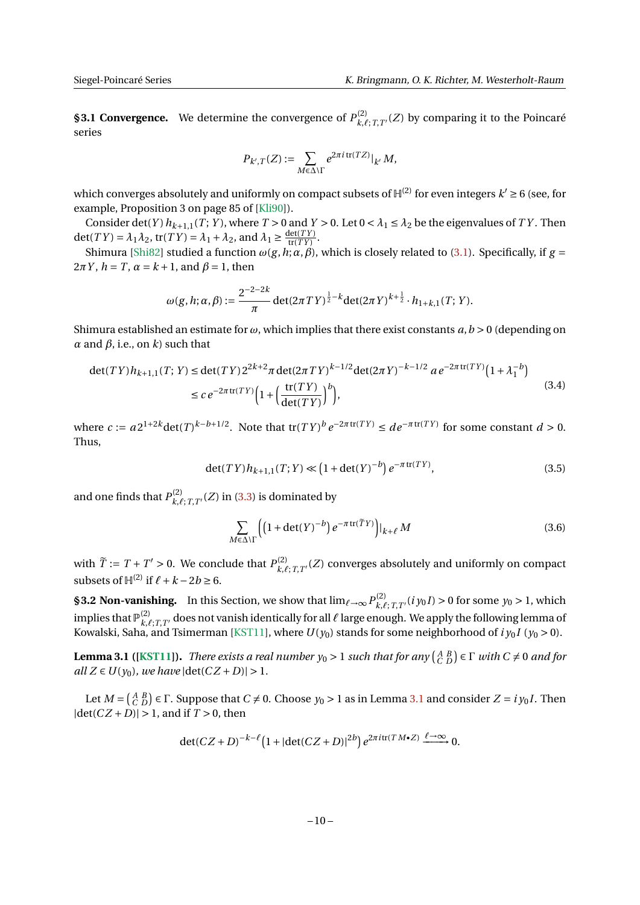**§3.1 Convergence.** We determine the convergence of  $P_{k}^{(2)}$  $\chi_{k,\ell;T,T'}^{(2)}(Z)$  by comparing it to the Poincaré series

$$
P_{k',T}(Z) := \sum_{M \in \Delta \backslash \Gamma} e^{2\pi i \operatorname{tr}(TZ)}|_{k'} M,
$$

which converges absolutely and uniformly on compact subsets of  ${\mathbb H}^{(2)}$  for even integers  $k' \ge 6$  (see, for example, Proposition 3 on page 85 of [\[Kli90\]](#page-15-18)).

Consider det(*Y*)  $h_{k+1,1}(T; Y)$ , where  $T > 0$  and  $Y > 0$ . Let  $0 < \lambda_1 \leq \lambda_2$  be the eigenvalues of *TY*. Then  $det(TY) = \lambda_1 \lambda_2$ ,  $tr(TY) = \lambda_1 + \lambda_2$ , and  $\lambda_1 \geq \frac{det(TY)}{tr(TY)}$  $\frac{\text{let}(I \mid I)}{\text{tr}(TY)}$ .

Shimura [\[Shi82\]](#page-15-7) studied a function  $\omega(g, h; \alpha, \beta)$ , which is closely related to [\(3.1\)](#page-8-3). Specifically, if  $g =$ 2*πY* , *h* = *T* , *α* = *k* +1, and *β* = 1, then

$$
\omega(g, h; \alpha, \beta) := \frac{2^{-2-2k}}{\pi} \det(2\pi T Y)^{\frac{1}{2}-k} \det(2\pi Y)^{k+\frac{1}{2}} \cdot h_{1+k,1}(T; Y).
$$

Shimura established an estimate for *ω*, which implies that there exist constants *a*,*b* > 0 (depending on *α* and *β*, i.e., on *k*) such that

$$
\det(TY)h_{k+1,1}(T;Y) \le \det(TY)2^{2k+2}\pi \det(2\pi TY)^{k-1/2} \det(2\pi Y)^{-k-1/2} \ a \, e^{-2\pi \, \text{tr}(TY)} \Big(1 + \lambda_1^{-b}\Big) \\
\le c \, e^{-2\pi \, \text{tr}(TY)} \Big(1 + \Big(\frac{\text{tr}(TY)}{\det(TY)}\Big)^b\Big),
$$
\n(3.4)

where  $c := a2^{1+2k} \det(T)^{k-b+1/2}$ . Note that  $tr(TY)^b e^{-2\pi tr(TY)} \leq de^{-\pi tr(TY)}$  for some constant  $d > 0$ . Thus,

$$
\det(TY)h_{k+1,1}(T;Y) \ll \left(1 + \det(Y)^{-b}\right)e^{-\pi \operatorname{tr}(TY)},\tag{3.5}
$$

and one finds that  $P_{k|l}^{(2)}$  $\lim_{k,\ell;T,T'}(Z)$  in [\(3.3\)](#page-8-0) is dominated by

<span id="page-9-2"></span><span id="page-9-0"></span>
$$
\sum_{M \in \Delta \backslash \Gamma} \left( \left( 1 + \det(Y)^{-b} \right) e^{-\pi \operatorname{tr}(\widetilde{T}Y)} \right) \big|_{k+\ell} M \tag{3.6}
$$

with  $\widetilde{T} := T + T' > 0$ . We conclude that  $P_{k,\ell}^{(2)}$  $\chi^{(2)}_{k,\ell;T,T'}(Z)$  converges absolutely and uniformly on compact subsets of  $\mathbb{H}^{(2)}$  if  $\ell + k - 2b \ge 6$ .

**§3.2 Non-vanishing.** In this Section, we show that  $\lim_{\ell \to \infty} P_{k,\ell}^{(2)}$  $\chi_{k,\ell;T,T'}^{(2)}(i\,y_0 I) > 0$  for some  $y_0 > 1$ , which implies that  $\mathbb{P}^{(2)}_{k,\ell}$  $\mathcal{L}^{(2)}_{k,\ell;T,T'}$  does not vanish identically for all  $\ell$  large enough. We apply the following lemma of Kowalski, Saha, and Tsimerman [\[KST11\]](#page-15-8), where  $U(y_0)$  stands for some neighborhood of  $iy_0I(y_0 > 0)$ .

<span id="page-9-1"></span>**Lemma 3.1 ([\[KST11\]](#page-15-8)).** There exists a real number  $y_0 > 1$  such that for any  $\binom{A}{C}\in \Gamma$  with  $C \neq 0$  and for *all*  $Z ∈ U(y_0)$ *, we have*  $|det(CZ + D)| > 1$ *.* 

Let  $M = \begin{pmatrix} A & B \\ C & D \end{pmatrix} \in \Gamma$ . Suppose that  $C \neq 0$ . Choose  $y_0 > 1$  as in Lemma [3.1](#page-9-1) and consider  $Z = iy_0I$ . Then  $|det(CZ + D)| > 1$ , and if  $T > 0$ , then

$$
\det(CZ+D)^{-k-\ell}\left(1+|\det(CZ+D)|^{2b}\right)e^{2\pi i \text{tr}(T M\bullet Z)} \xrightarrow{\ell \to \infty} 0.
$$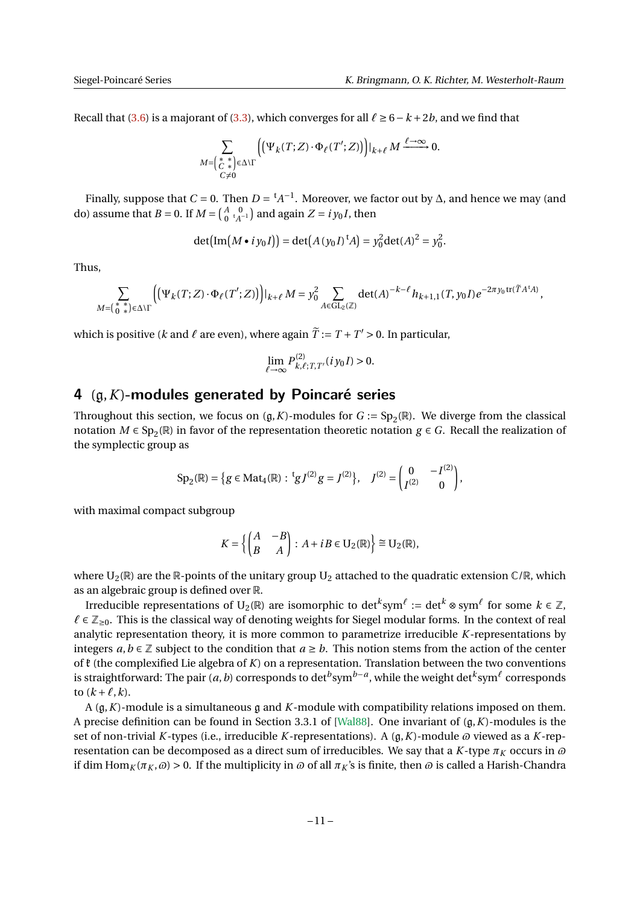Recall that [\(3.6\)](#page-9-2) is a majorant of [\(3.3\)](#page-8-0), which converges for all  $\ell \ge 6-k+2b$ , and we find that

$$
\sum_{\substack{M=\binom{*}{C}\text{ s.t.}\\C\neq 0}}\Bigl(\bigl(\Psi_k(T;Z)\cdot\Phi_\ell(T';Z)\bigr)\Bigr)|_{k+\ell}\,M\xrightarrow{\ell\to\infty}0.
$$

Finally, suppose that *C* = 0. Then  $D = {}^{t}A^{-1}$ . Moreover, we factor out by  $\Delta$ , and hence we may (and do) assume that  $B = 0$ . If  $M = \begin{pmatrix} A & 0 \\ 0 & 1 \end{pmatrix}$  $\binom{A}{0}$ <sub>t $A^{-1}$ </sub>) and again  $Z = iy_0I$ , then

$$
\det(\text{Im}(M \bullet i y_0 I)) = \det(A(y_0 I)^{\dagger} A) = y_0^2 \det(A)^2 = y_0^2.
$$

Thus,

$$
\sum_{M=\binom{*}{0\;\ast}\in\Delta\backslash\Gamma}\Bigl(\bigl(\Psi_k(T;Z)\cdot\Phi_\ell(T';Z)\bigr)\Bigr)|_{k+\ell}\,M=\displaystyle y_0^2\sum_{A\in\mathrm{GL}_2(\mathbb{Z})}\det(A)^{-k-\ell}h_{k+1,1}(T,y_0I)e^{-2\pi y_0\,\mathrm{tr}(\widetilde{T}A^{\mathfrak{t}}A)},
$$

which is positive (*k* and  $\ell$  are even), where again  $\widetilde{T} := T + T' > 0$ . In particular,

$$
\lim_{\ell \to \infty} P^{(2)}_{k,\ell;T,T'}(iy_0 I) > 0.
$$

# <span id="page-10-0"></span>**4** (g,*K*)**-modules generated by Poincaré series**

Throughout this section, we focus on  $(\mathfrak{g}, K)$ -modules for  $G := \mathrm{Sp}_2(\mathbb{R})$ . We diverge from the classical notation  $M \in \text{Sp}_2(\mathbb{R})$  in favor of the representation theoretic notation  $g \in G$ . Recall the realization of the symplectic group as

$$
\operatorname{Sp}_2(\mathbb{R})=\big\{g\in \operatorname{Mat}_4(\mathbb{R})\,:\, {}^tgJ^{(2)}g=J^{(2)}\big\},\quad J^{(2)}=\begin{pmatrix}0&-I^{(2)}\\I^{(2)}&0\end{pmatrix},
$$

with maximal compact subgroup

$$
K = \left\{ \begin{pmatrix} A & -B \\ B & A \end{pmatrix} : A + iB \in U_2(\mathbb{R}) \right\} \cong U_2(\mathbb{R}),
$$

where  $U_2(\mathbb{R})$  are the  $\mathbb{R}$ -points of the unitary group  $U_2$  attached to the quadratic extension  $\mathbb{C}/\mathbb{R}$ , which as an algebraic group is defined over R.

Irreducible representations of U<sub>2</sub>(ℝ) are isomorphic to det<sup> $k$ </sup>sym<sup>ℓ</sup> := det<sup> $k$ </sup> ⊗ sym<sup>ℓ</sup> for some  $k \in \mathbb{Z}$ ,  $\ell \in \mathbb{Z}_{\geq 0}$ . This is the classical way of denoting weights for Siegel modular forms. In the context of real analytic representation theory, it is more common to parametrize irreducible *K*-representations by integers  $a, b \in \mathbb{Z}$  subject to the condition that  $a \geq b$ . This notion stems from the action of the center of k (the complexified Lie algebra of *K*) on a representation. Translation between the two conventions is straightforward: The pair  $(a, b)$  corresponds to det<sup>*b*</sup>sym<sup>*b*−*a*</sup>, while the weight det<sup>*k*</sup>sym<sup>ℓ</sup> corresponds to  $(k+\ell,k)$ .

A (g,*K*)-module is a simultaneous g and *K*-module with compatibility relations imposed on them. A precise definition can be found in Section 3.3.1 of [\[Wal88\]](#page-15-14). One invariant of (g,*K*)-modules is the set of non-trivial *K*-types (i.e., irreducible *K*-representations). A ( $\mathfrak{g}, K$ )-module  $\varpi$  viewed as a *K*-representation can be decomposed as a direct sum of irreducibles. We say that a *K*-type  $\pi_K$  occurs in  $\varpi$ if dim Hom<sub>*K*</sub>( $\pi$ *K*, $\omega$ ) > 0. If the multiplicity in  $\omega$  of all  $\pi$ <sub>*K*</sub>'s is finite, then  $\omega$  is called a Harish-Chandra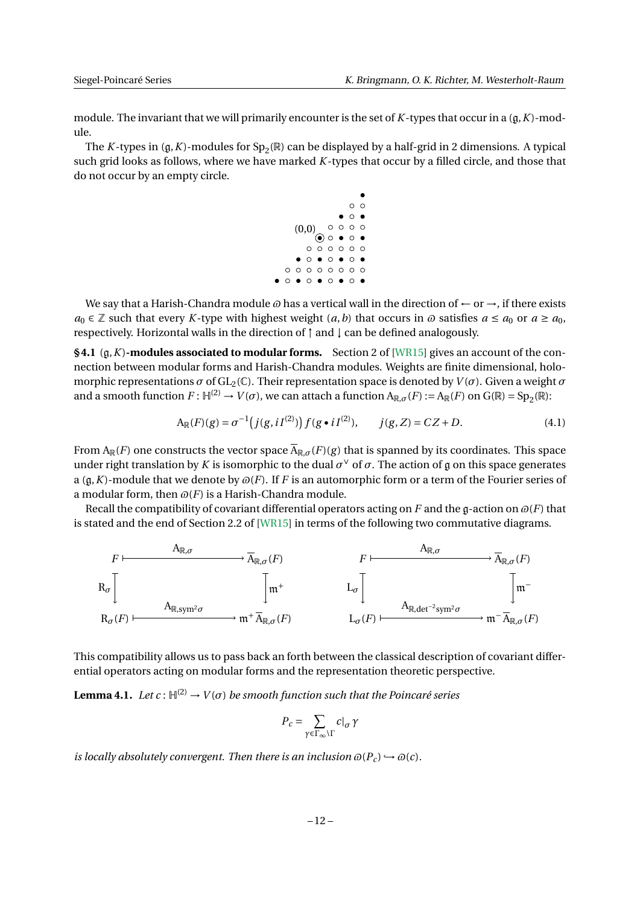module. The invariant that we will primarily encounter is the set of *K*-types that occur in a (g,*K*)-module.

The *K*-types in  $(g, K)$ -modules for  $Sp_2(\mathbb{R})$  can be displayed by a half-grid in 2 dimensions. A typical such grid looks as follows, where we have marked *K*-types that occur by a filled circle, and those that do not occur by an empty circle.



We say that a Harish-Chandra module  $\omega$  has a vertical wall in the direction of  $\leftarrow$  or  $\rightarrow$ , if there exists *a*<sup>0</sup> ∈  $\mathbb Z$  such that every *K*-type with highest weight  $(a, b)$  that occurs in  $\varnothing$  satisfies  $a \le a_0$  or  $a \ge a_0$ , respectively. Horizontal walls in the direction of ↑ and ↓ can be defined analogously.

<span id="page-11-0"></span>**§4.1** (g,*K*)**-modules associated to modular forms.** Section 2 of [\[WR15\]](#page-15-19) gives an account of the connection between modular forms and Harish-Chandra modules. Weights are finite dimensional, holomorphic representations  $\sigma$  of GL<sub>2</sub>(C). Their representation space is denoted by  $V(\sigma)$ . Given a weight  $\sigma$ and a smooth function  $F: \mathbb{H}^{(2)} \to V(\sigma)$ , we can attach a function  $A_{\mathbb{R}, \sigma}(F) := A_{\mathbb{R}}(F)$  on  $G(\mathbb{R}) = \mathrm{Sp}_2(\mathbb{R})$ :

$$
A_{\mathbb{R}}(F)(g) = \sigma^{-1}\big(j(g, iI^{(2)})\big)f(g \bullet iI^{(2)}), \qquad j(g, Z) = CZ + D. \tag{4.1}
$$

From  $A_{\mathbb{R}}(F)$  one constructs the vector space  $\overline{A}_{\mathbb{R},\sigma}(F)(g)$  that is spanned by its coordinates. This space under right translation by *K* is isomorphic to the dual  $\sigma^\vee$  of  $\sigma$ . The action of g on this space generates a  $(g, K)$ -module that we denote by  $\varpi(F)$ . If *F* is an automorphic form or a term of the Fourier series of a modular form, then  $\varpi(F)$  is a Harish-Chandra module.

Recall the compatibility of covariant differential operators acting on *F* and the g-action on  $\mathcal{O}(F)$  that is stated and the end of Section 2.2 of [\[WR15\]](#page-15-19) in terms of the following two commutative diagrams.



This compatibility allows us to pass back an forth between the classical description of covariant differential operators acting on modular forms and the representation theoretic perspective.

<span id="page-11-1"></span>**Lemma 4.1.** Let  $c: \mathbb{H}^{(2)} \to V(\sigma)$  be smooth function such that the Poincaré series

$$
P_c = \sum_{\gamma \in \Gamma_{\infty} \backslash \Gamma} c|_{\sigma} \gamma
$$

*is locally absolutely convergent. Then there is an inclusion*  $\omega(P_c) \hookrightarrow \omega(c)$ *.*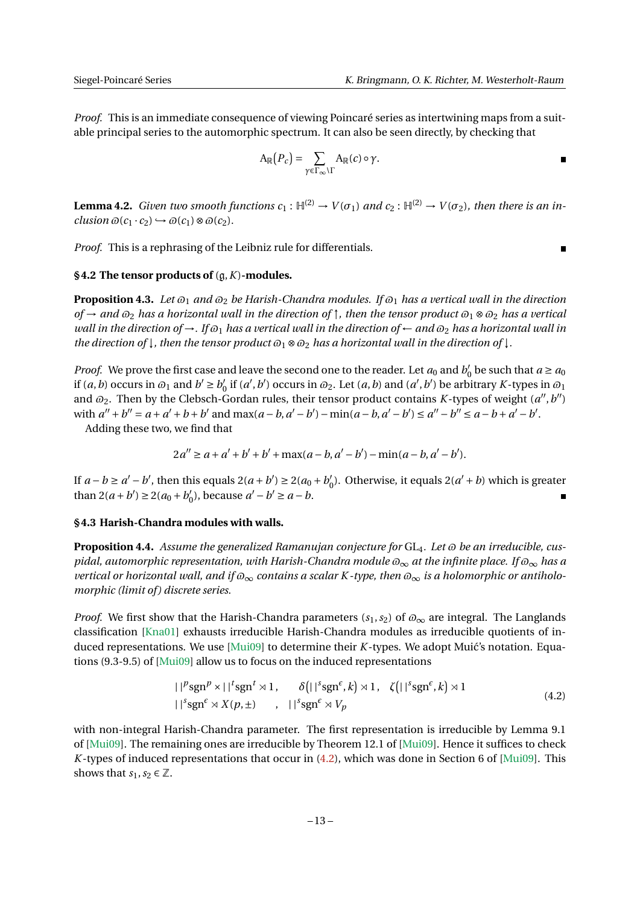*Proof.* This is an immediate consequence of viewing Poincaré series as intertwining maps from a suitable principal series to the automorphic spectrum. It can also be seen directly, by checking that

$$
A_{\mathbb{R}}(P_c) = \sum_{\gamma \in \Gamma_{\infty} \backslash \Gamma} A_{\mathbb{R}}(c) \circ \gamma.
$$

<span id="page-12-1"></span>**Lemma 4.2.** Given two smooth functions  $c_1$  :  $\mathbb{H}^{(2)} \to V(\sigma_1)$  and  $c_2$  :  $\mathbb{H}^{(2)} \to V(\sigma_2)$ , then there is an in $clusion \ \varpi(c_1 \cdot c_2) \hookrightarrow \varpi(c_1) \otimes \varpi(c_2)$ .

*Proof.* This is a rephrasing of the Leibniz rule for differentials.

#### <span id="page-12-2"></span>**§4.2 The tensor products of** (g,*K*)**-modules.**

**Proposition 4.3.** *Let*  $\omega_1$  *and*  $\omega_2$  *be Harish-Chandra modules. If*  $\omega_1$  *has a vertical wall in the direction*  $of \rightarrow$  *and*  $\bar{\omega}_2$  *has a horizontal wall in the direction of*  $\uparrow$ *, then the tensor product*  $\bar{\omega}_1 \otimes \bar{\omega}_2$  *has a vertical wall in the direction of*  $\rightarrow$ *. If*  $\varphi_1$  *has a vertical wall in the direction of*  $\leftarrow$  *and*  $\varphi_2$  *has a horizontal wall in the direction of*  $\downarrow$ *, then the tensor product*  $\varpi_1 \otimes \varpi_2$  *has a horizontal wall in the direction of*  $\downarrow$ *.* 

*Proof.* We prove the first case and leave the second one to the reader. Let  $a_0$  and  $b_0$  $a'_0$  be such that  $a \ge a_0$ if  $(a, b)$  occurs in  $\varpi_1$  and  $b' \geq b'_0$  $\mathcal{O}_0$  if  $(a', b')$  occurs in  $\varpi_2$ . Let  $(a, b)$  and  $(a', b')$  be arbitrary *K*-types in  $\varpi_1$ and  $\omega_2$ . Then by the Clebsch-Gordan rules, their tensor product contains *K*-types of weight  $(a'', b'')$ with  $a'' + b'' = a + a' + b + b'$  and  $\max(a - b, a' - b') - \min(a - b, a' - b') \le a'' - b'' \le a - b + a' - b'$ .

Adding these two, we find that

$$
2a'' \ge a + a' + b' + b' + \max(a - b, a' - b') - \min(a - b, a' - b').
$$

If *a* − *b* ≥ *a'* − *b'*, then this equals  $2(a + b') \ge 2(a_0 + b'_0)$  $O_0$ ). Otherwise, it equals  $2(a' + b)$  which is greater than  $2(a + b') \ge 2(a_0 + b'_0)$  $a'_{0}$ , because  $a' - b' \ge a - b$ .  $\blacksquare$ 

#### <span id="page-12-3"></span>**§4.3 Harish-Chandra modules with walls.**

**Proposition 4.4.** *Assume the generalized Ramanujan conjecture for*  $GL_4$ *. Let*  $\varpi$  *be an irreducible, cuspidal, automorphic representation, with Harish-Chandra module*  $\omega_{\infty}$  *at the infinite place. If*  $\omega_{\infty}$  *has a vertical or horizontal wall, and if*  $\omega_{\infty}$  *contains a scalar K-type, then*  $\omega_{\infty}$  *is a holomorphic or antiholomorphic (limit of) discrete series.* 

*Proof.* We first show that the Harish-Chandra parameters  $(s_1, s_2)$  of  $\omega_{\infty}$  are integral. The Langlands classification [\[Kna01\]](#page-15-13) exhausts irreducible Harish-Chandra modules as irreducible quotients of in-duced representations. We use [\[Mui09\]](#page-15-10) to determine their *K*-types. We adopt Muić's notation. Equations (9.3-9.5) of [\[Mui09\]](#page-15-10) allow us to focus on the induced representations

<span id="page-12-0"></span>
$$
||^{p}sgn^{p} \times ||^{t}sgn^{t} \times 1, \quad \delta(||^{s}sgn^{\epsilon}, k) \times 1, \quad \zeta(||^{s}sgn^{\epsilon}, k) \times 1
$$
  

$$
||^{s}sgn^{\epsilon} \times X(p, \pm) , \quad ||^{s}sgn^{\epsilon} \times V_{p}
$$
 (4.2)

with non-integral Harish-Chandra parameter. The first representation is irreducible by Lemma 9.1 of [\[Mui09\]](#page-15-10). The remaining ones are irreducible by Theorem 12.1 of [\[Mui09\]](#page-15-10). Hence it suffices to check *K*-types of induced representations that occur in [\(4.2\)](#page-12-0), which was done in Section 6 of [\[Mui09\]](#page-15-10). This shows that  $s_1, s_2 \in \mathbb{Z}$ .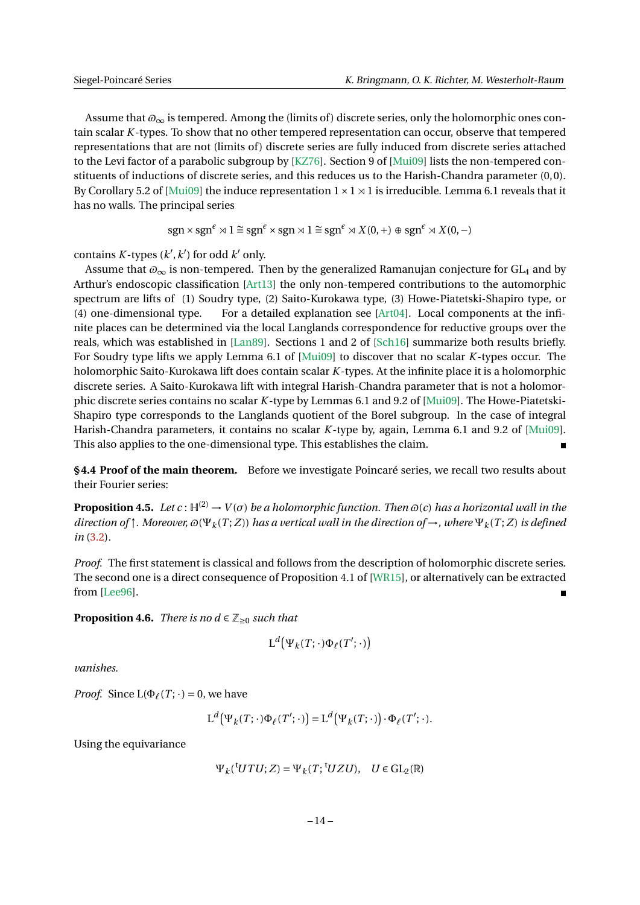Assume that  $\mathcal{D}_{\infty}$  is tempered. Among the (limits of) discrete series, only the holomorphic ones contain scalar *K*-types. To show that no other tempered representation can occur, observe that tempered representations that are not (limits of) discrete series are fully induced from discrete series attached to the Levi factor of a parabolic subgroup by [\[KZ76\]](#page-15-20). Section 9 of [\[Mui09\]](#page-15-10) lists the non-tempered constituents of inductions of discrete series, and this reduces us to the Harish-Chandra parameter (0, 0). By Corollary 5.2 of [\[Mui09\]](#page-15-10) the induce representation  $1 \times 1 \times 1$  is irreducible. Lemma 6.1 reveals that it has no walls. The principal series

$$
sgn \times sgn^{\epsilon} \rtimes 1 \cong sgn^{\epsilon} \times sgn \rtimes 1 \cong sgn^{\epsilon} \rtimes X(0,+) \oplus sgn^{\epsilon} \rtimes X(0,-)
$$

contains  $K$ -types  $(k', k')$  for odd  $k'$  only.

Assume that  $\hat{\omega}_{\infty}$  is non-tempered. Then by the generalized Ramanujan conjecture for GL<sub>4</sub> and by Arthur's endoscopic classification [\[Art13\]](#page-14-6) the only non-tempered contributions to the automorphic spectrum are lifts of (1) Soudry type, (2) Saito-Kurokawa type, (3) Howe-Piatetski-Shapiro type, or (4) one-dimensional type. For a detailed explanation see [\[Art04\]](#page-14-8). Local components at the infinite places can be determined via the local Langlands correspondence for reductive groups over the reals, which was established in [\[Lan89\]](#page-15-21). Sections 1 and 2 of [\[Sch16\]](#page-15-22) summarize both results briefly. For Soudry type lifts we apply Lemma 6.1 of [\[Mui09\]](#page-15-10) to discover that no scalar *K*-types occur. The holomorphic Saito-Kurokawa lift does contain scalar *K*-types. At the infinite place it is a holomorphic discrete series. A Saito-Kurokawa lift with integral Harish-Chandra parameter that is not a holomorphic discrete series contains no scalar *K*-type by Lemmas 6.1 and 9.2 of [\[Mui09\]](#page-15-10). The Howe-Piatetski-Shapiro type corresponds to the Langlands quotient of the Borel subgroup. In the case of integral Harish-Chandra parameters, it contains no scalar *K*-type by, again, Lemma 6.1 and 9.2 of [\[Mui09\]](#page-15-10). This also applies to the one-dimensional type. This establishes the claim.

<span id="page-13-1"></span>**§4.4 Proof of the main theorem.** Before we investigate Poincaré series, we recall two results about their Fourier series:

 ${\bf Proposition \ 4.5.}\ \ Let\ c: \mathbb{H}^{(2)}\to V(\sigma) \ be \ a \ holomorphic \ function. \ Then \ \varpi(c) \ has \ a \ horizontal \ wall \ in \ the \$ *direction of*  $\uparrow$ . *Moreover,*  $\omega(\Psi_k(T; Z))$  *has a vertical wall in the direction of*  $\rightarrow$ *, where*  $\Psi_k(T; Z)$  *is defined in* [\(3.2\)](#page-8-4)*.*

*Proof.* The first statement is classical and follows from the description of holomorphic discrete series. The second one is a direct consequence of Proposition 4.1 of [\[WR15\]](#page-15-19), or alternatively can be extracted from [\[Lee96\]](#page-15-23).

<span id="page-13-0"></span>**Proposition 4.6.** *There is no d*  $\in \mathbb{Z}_{\geq 0}$  *such that* 

$$
\mathord{\text{\rm L}}^d \big(\Psi_k(T; \cdot) \Phi_\ell(T'; \cdot) \big)
$$

*vanishes.*

*Proof.* Since  $L(\Phi_{\ell}(T; \cdot) = 0)$ , we have

$$
\mathord{\text{\rm L}}^d\big(\Psi_k(T;\cdot)\Phi_\ell(T';\cdot)\big) = \mathord{\text{\rm L}}^d\big(\Psi_k(T;\cdot)\big)\cdot\Phi_\ell(T';\cdot).
$$

Using the equivariance

$$
\Psi_k({}^{\mathsf{t}} U T U; Z) = \Psi_k(T; {}^{\mathsf{t}} U Z U), \quad U \in \text{GL}_2(\mathbb{R})
$$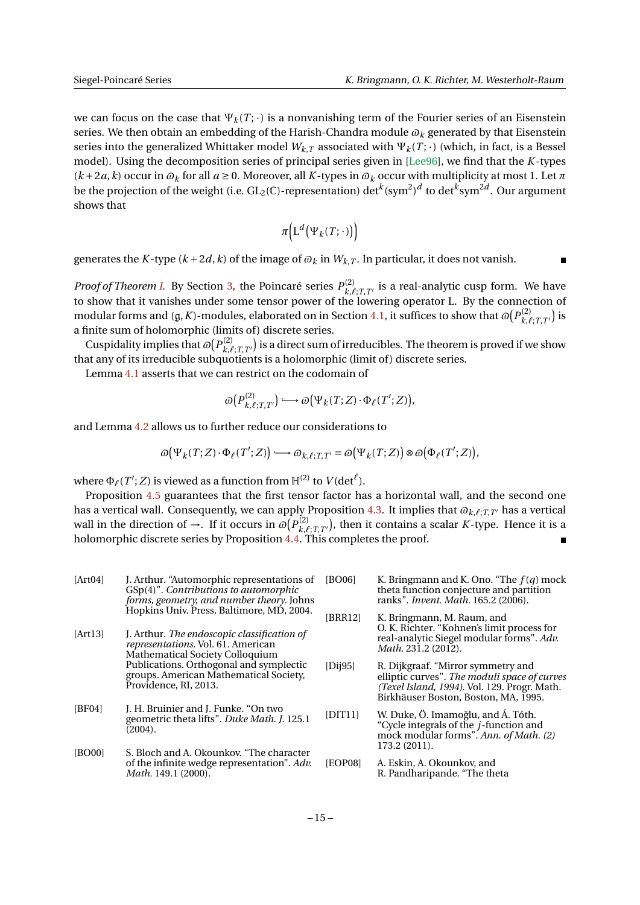we can focus on the case that  $\Psi_k(T; \cdot)$  is a nonvanishing term of the Fourier series of an Eisenstein series. We then obtain an embedding of the Harish-Chandra module  $\omega_k$  generated by that Eisenstein series into the generalized Whittaker model  $W_{k,T}$  associated with  $\Psi_k(T; \cdot)$  (which, in fact, is a Bessel model). Using the decomposition series of principal series given in [\[Lee96\]](#page-15-23), we find that the *K*-types  $(k+2a, k)$  occur in  $\omega_k$  for all  $a \ge 0$ . Moreover, all *K*-types in  $\omega_k$  occur with multiplicity at most 1. Let  $\pi$ be the projection of the weight (i.e.  $\mathrm{GL}_2(\mathbb{C})$ -representation)  $\det^k(\mathrm{sym}^2)^d$  to  $\det^k\mathrm{sym}^{2d}.$  Our argument shows that

$$
\pi\Big(\mathrm{L}^d\big(\Psi_k(T;\cdot)\big)\Big)
$$

generates the *K*-type ( $k+2d$ ,  $k$ ) of the image of  $\omega_k$  in  $W_{k,T}$ . In particular, it does not vanish.

*Proof of Theorem [I.](#page-1-0)* By Section [3,](#page-8-1) the Poincaré series  $P_{k}^{(2)}$  $\int_{k,\ell;T,T'}^{(2)}$  is a real-analytic cusp form. We have to show that it vanishes under some tensor power of the lowering operator L. By the connection of modular forms and (g, K)-modules, elaborated on in Section [4.1,](#page-11-0) it suffices to show that  $\varpi(P^{(2)}_{k,\ell})$  $\binom{2}{k,\ell;T,T'}$  is a finite sum of holomorphic (limits of) discrete series.

Cuspidality implies that  $\varpi(P_{\nu_A}^{(2)})$  $\mathcal{L}^{(2)}_{k,\ell;T,T'}$  is a direct sum of irreducibles. The theorem is proved if we show that any of its irreducible subquotients is a holomorphic (limit of) discrete series.

Lemma [4.1](#page-11-1) asserts that we can restrict on the codomain of

<span id="page-14-3"></span>
$$
\varpi(P^{(2)}_{k,\ell;T,T'}) \longrightarrow \varpi(\Psi_k(T;Z) \cdot \Phi_{\ell}(T';Z)),
$$

and Lemma [4.2](#page-12-1) allows us to further reduce our considerations to

<span id="page-14-5"></span>
$$
\varpi(\Psi_k(T;Z)\cdot\Phi_{\ell}(T';Z))\longrightarrow \varpi_{k,\ell;T,T'}=\varpi(\Psi_k(T;Z))\otimes\varpi(\Phi_{\ell}(T';Z)),
$$

where  $\Phi_{\ell}(T';Z)$  is viewed as a function from  $\mathbb{H}^{(2)}$  to  $V(\det^{\ell}).$ 

Proposition [4.5](#page-13-1) guarantees that the first tensor factor has a horizontal wall, and the second one has a vertical wall. Consequently, we can apply Proposition [4.3.](#page-12-2) It implies that  $\varpi_{k,\ell;T,T'}$  has a vertical wall in the direction of  $\rightarrow$ . If it occurs in  $\mathcal{D}(P_k^{(2)})$  $\binom{G}{k,\ell;T,T'}$ , then it contains a scalar *K*-type. Hence it is a holomorphic discrete series by Proposition [4.4.](#page-12-3) This completes the proof.

<span id="page-14-8"></span><span id="page-14-7"></span><span id="page-14-6"></span><span id="page-14-4"></span><span id="page-14-2"></span><span id="page-14-1"></span><span id="page-14-0"></span>

| [Art04] | J. Arthur. "Automorphic representations of<br>$GSp(4)$ ". Contributions to automorphic<br>forms, geometry, and number theory. Johns | [BO06]      | K. Bringmann and K. Ono. "The $f(q)$ mock<br>theta function conjecture and partition<br>ranks". <i>Invent. Math.</i> 165.2 (2006).                                         |
|---------|-------------------------------------------------------------------------------------------------------------------------------------|-------------|----------------------------------------------------------------------------------------------------------------------------------------------------------------------------|
|         | Hopkins Univ. Press, Baltimore, MD, 2004.                                                                                           | [BRR12]     | K. Bringmann, M. Raum, and                                                                                                                                                 |
| [Art13] | J. Arthur. <i>The endoscopic classification of</i><br>representations. Vol. 61. American<br>Mathematical Society Colloquium         |             | O. K. Richter. "Kohnen's limit process for<br>real-analytic Siegel modular forms". Adv.<br><i>Math.</i> 231.2 (2012).                                                      |
|         | Publications. Orthogonal and symplectic<br>groups. American Mathematical Society,<br>Providence, RI, 2013.                          | [ $Dij95$ ] | R. Dijkgraaf. "Mirror symmetry and<br>elliptic curves". The moduli space of curves<br>(Texel Island, 1994). Vol. 129. Progr. Math.<br>Birkhäuser Boston, Boston, MA, 1995. |
| [BF04]  | J. H. Bruinier and J. Funke. "On two<br>geometric theta lifts". Duke Math. J. 125.1<br>(2004).                                      | [DT11]      | W. Duke, Ö. Imamoğlu, and Á. Tóth.<br>"Cycle integrals of the <i>j</i> -function and<br>mock modular forms". Ann. of Math. (2)<br>173.2 (2011).                            |
| [BO00]  | S. Bloch and A. Okounkov. "The character<br>of the infinite wedge representation". Adv.<br><i>Math.</i> 149.1 (2000).               | [EOP08]     | A. Eskin, A. Okounkov, and<br>R. Pandharipande. "The theta                                                                                                                 |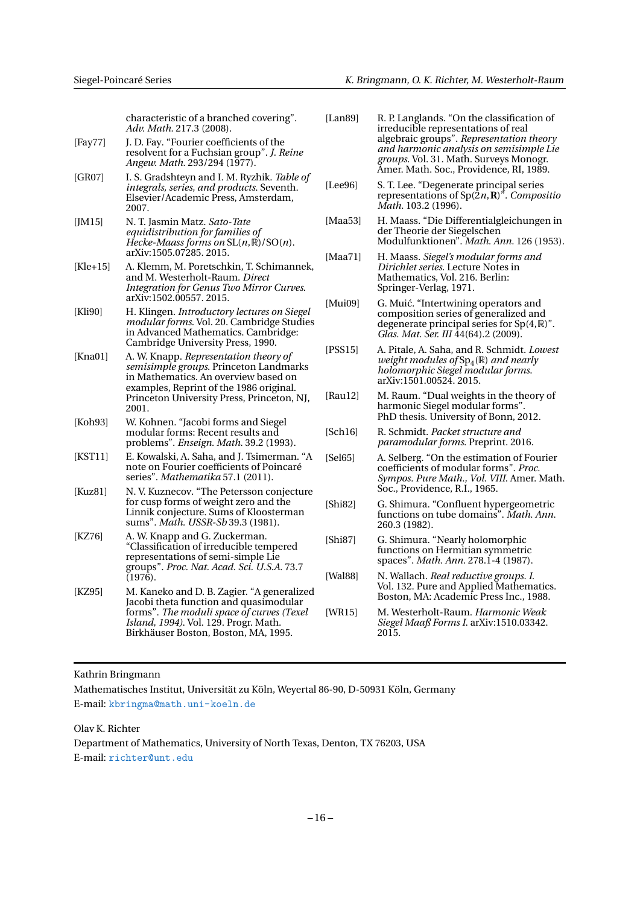characteristic of a branched covering". *Adv. Math.* 217.3 (2008).

- <span id="page-15-2"></span>[Fay77] J. D. Fay. "Fourier coefficients of the resolvent for a Fuchsian group". *J. Reine Angew. Math.* 293/294 (1977).
- <span id="page-15-11"></span>[GR07] I. S. Gradshteyn and I. M. Ryzhik. *Table of integrals, series, and products*. Seventh. Elsevier/Academic Press, Amsterdam, 2007.
- <span id="page-15-12"></span>[JM15] N. T. Jasmin Matz. *Sato-Tate equidistribution for families of*  $Hecke-Maass forms on SL(n,\mathbb{R})/SO(n).$ arXiv:1505.07285. 2015.

<span id="page-15-4"></span>[Kle+15] A. Klemm, M. Poretschkin, T. Schimannek, and M. Westerholt-Raum. *Direct Integration for Genus Two Mirror Curves*. arXiv:1502.00557. 2015.

- <span id="page-15-18"></span>[Kli90] H. Klingen. *Introductory lectures on Siegel modular forms*. Vol. 20. Cambridge Studies in Advanced Mathematics. Cambridge: Cambridge University Press, 1990.
- <span id="page-15-13"></span>[Kna01] A. W. Knapp. *Representation theory of semisimple groups*. Princeton Landmarks in Mathematics. An overview based on examples, Reprint of the 1986 original. Princeton University Press, Princeton, NJ, 2001.
- <span id="page-15-15"></span>[Koh93] W. Kohnen. "Jacobi forms and Siegel modular forms: Recent results and problems". *Enseign. Math.* 39.2 (1993).
- <span id="page-15-8"></span>[KST11] E. Kowalski, A. Saha, and J. Tsimerman. "A note on Fourier coefficients of Poincaré series". *Mathematika* 57.1 (2011).
- <span id="page-15-9"></span>[Kuz81] N. V. Kuznecov. "The Petersson conjecture for cusp forms of weight zero and the Linnik conjecture. Sums of Kloosterman sums". *Math. USSR-Sb* 39.3 (1981).
- <span id="page-15-20"></span>[KZ76] A. W. Knapp and G. Zuckerman. "Classification of irreducible tempered representations of semi-simple Lie groups". *Proc. Nat. Acad. Sci. U.S.A.* 73.7 (1976).
- <span id="page-15-1"></span>[KZ95] M. Kaneko and D. B. Zagier. "A generalized Jacobi theta function and quasimodular forms". *The moduli space of curves (Texel Island, 1994)*. Vol. 129. Progr. Math. Birkhäuser Boston, Boston, MA, 1995.
- <span id="page-15-21"></span>[Lan89] R. P. Langlands. "On the classification of irreducible representations of real algebraic groups". *Representation theory and harmonic analysis on semisimple Lie groups*. Vol. 31. Math. Surveys Monogr. Amer. Math. Soc., Providence, RI, 1989.
- <span id="page-15-23"></span>[Lee96] S. T. Lee. "Degenerate principal series representations of Sp(2*n*,**R**)". *Compositio Math.* 103.2 (1996).
- <span id="page-15-17"></span>[Maa53] H. Maass. "Die Differentialgleichungen in der Theorie der Siegelschen Modulfunktionen". *Math. Ann.* 126 (1953).
- <span id="page-15-16"></span>[Maa71] H. Maass. *Siegel's modular forms and Dirichlet series*. Lecture Notes in Mathematics, Vol. 216. Berlin: Springer-Verlag, 1971.
- <span id="page-15-10"></span>[Mui09] G. Muić. "Intertwining operators and composition series of generalized and degenerate principal series for Sp(4,R)". *Glas. Mat. Ser. III* 44(64).2 (2009).
- <span id="page-15-5"></span>[PSS15] A. Pitale, A. Saha, and R. Schmidt. *Lowest weight modules of* Sp<sup>4</sup> (R) *and nearly holomorphic Siegel modular forms*. arXiv:1501.00524. 2015.
- <span id="page-15-6"></span>[Rau12] M. Raum. "Dual weights in the theory of harmonic Siegel modular forms". PhD thesis. University of Bonn, 2012.
- <span id="page-15-22"></span>[Sch16] R. Schmidt. *Packet structure and paramodular forms*. Preprint. 2016.
- <span id="page-15-3"></span>[Sel65] A. Selberg. "On the estimation of Fourier coefficients of modular forms". *Proc. Sympos. Pure Math., Vol. VIII*. Amer. Math. Soc., Providence, R.I., 1965.
- <span id="page-15-7"></span>[Shi82] G. Shimura. "Confluent hypergeometric functions on tube domains". *Math. Ann.* 260.3 (1982).
- <span id="page-15-0"></span>[Shi87] G. Shimura. "Nearly holomorphic functions on Hermitian symmetric spaces". *Math. Ann.* 278.1-4 (1987).
- <span id="page-15-14"></span>[Wal88] N. Wallach. *Real reductive groups. I*. Vol. 132. Pure and Applied Mathematics. Boston, MA: Academic Press Inc., 1988.
- <span id="page-15-19"></span>[WR15] M. Westerholt-Raum. *Harmonic Weak Siegel Maaß Forms I*. arXiv:1510.03342. 2015.

#### Kathrin Bringmann

Mathematisches Institut, Universität zu Köln, Weyertal 86-90, D-50931 Köln, Germany E-mail: <kbringma@math.uni-koeln.de>

Olav K. Richter

Department of Mathematics, University of North Texas, Denton, TX 76203, USA E-mail: <richter@unt.edu>